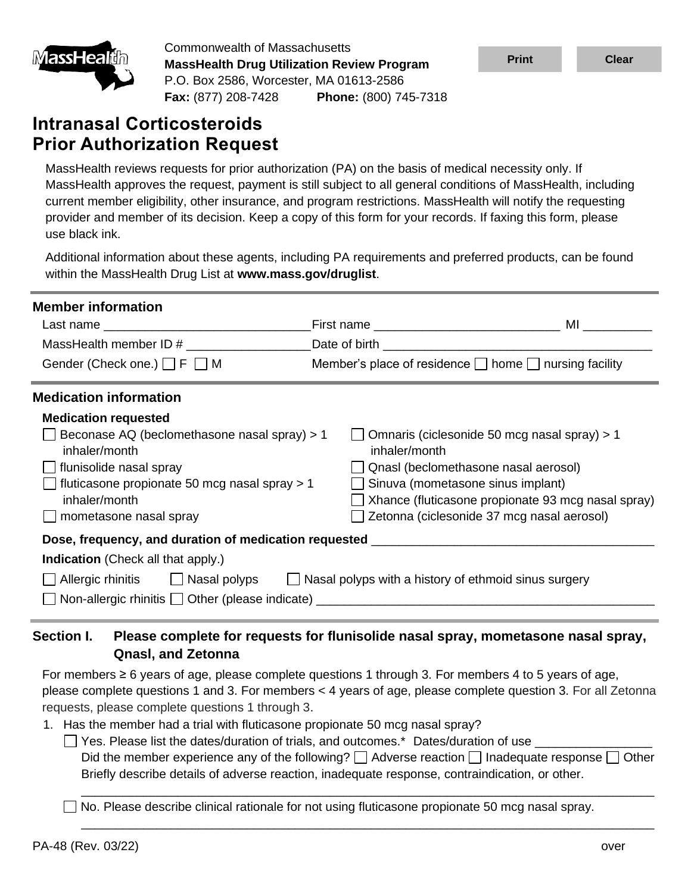

Commonwealth of Massachusetts **MassHealth Drug Utilization Review Program** P.O. Box 2586, Worcester, MA 01613-2586 **Fax:** (877) 208-7428 **Phone:** (800) 745-7318

# **Intranasal Corticosteroids Prior Authorization Request**

MassHealth reviews requests for prior authorization (PA) on the basis of medical necessity only. If MassHealth approves the request, payment is still subject to all general conditions of MassHealth, including current member eligibility, other insurance, and program restrictions. MassHealth will notify the requesting provider and member of its decision. Keep a copy of this form for your records. If faxing this form, please use black ink.

Additional information about these agents, including PA requirements and preferred products, can be found within the MassHealth Drug List at **www.mass.gov/druglist**.

| <b>Member information</b><br>Last name that the contract of the contract of the contract of the contract of the contract of the contract of<br>MassHealth member ID $\#$ $\qquad$ Date of birth<br>Gender (Check one.) $\Box$ F $\Box$ M             | First name __________________________________        | ML<br>Member's place of residence $\Box$ home $\Box$ nursing facility                                                                                                                                                         |
|------------------------------------------------------------------------------------------------------------------------------------------------------------------------------------------------------------------------------------------------------|------------------------------------------------------|-------------------------------------------------------------------------------------------------------------------------------------------------------------------------------------------------------------------------------|
| <b>Medication information</b><br><b>Medication requested</b><br>Beconase AQ (beclomethasone nasal spray) > 1<br>inhaler/month<br>flunisolide nasal spray<br>fluticasone propionate 50 mcg nasal spray > 1<br>inhaler/month<br>mometasone nasal spray | inhaler/month                                        | Omnaris (ciclesonide 50 mcg nasal spray) > 1<br>Qnasl (beclomethasone nasal aerosol)<br>Sinuva (mometasone sinus implant)<br>Xhance (fluticasone propionate 93 mcg nasal spray)<br>Zetonna (ciclesonide 37 mcg nasal aerosol) |
| Dose, frequency, and duration of medication requested __________________________<br>Indication (Check all that apply.)<br>Allergic rhinitis □ △ Nasal polyps<br>Non-allergic rhinitis   Other (please indicate) __________                           | Nasal polyps with a history of ethmoid sinus surgery |                                                                                                                                                                                                                               |

## **Section I. Please complete for requests for flunisolide nasal spray, mometasone nasal spray, Qnasl, and Zetonna**

For members  $\geq 6$  years of age, please complete questions 1 through 3. For members 4 to 5 years of age, please complete questions 1 and 3. For members < 4 years of age, please complete question 3. For all Zetonna requests, please complete questions 1 through 3.

- 1. Has the member had a trial with fluticasone propionate 50 mcg nasal spray?
	- $\Box$  Yes. Please list the dates/duration of trials, and outcomes.\* Dates/duration of use Did the member experience any of the following?  $\Box$  Adverse reaction  $\Box$  Inadequate response  $\Box$  Other Briefly describe details of adverse reaction, inadequate response, contraindication, or other.

\_\_\_\_\_\_\_\_\_\_\_\_\_\_\_\_\_\_\_\_\_\_\_\_\_\_\_\_\_\_\_\_\_\_\_\_\_\_\_\_\_\_\_\_\_\_\_\_\_\_\_\_\_\_\_\_\_\_\_\_\_\_\_\_\_\_\_\_\_\_\_\_\_\_\_\_\_\_\_\_\_\_\_

\_\_\_\_\_\_\_\_\_\_\_\_\_\_\_\_\_\_\_\_\_\_\_\_\_\_\_\_\_\_\_\_\_\_\_\_\_\_\_\_\_\_\_\_\_\_\_\_\_\_\_\_\_\_\_\_\_\_\_\_\_\_\_\_\_\_\_\_\_\_\_\_\_\_\_\_\_\_\_\_\_\_\_

No. Please describe clinical rationale for not using fluticasone propionate 50 mcg nasal spray.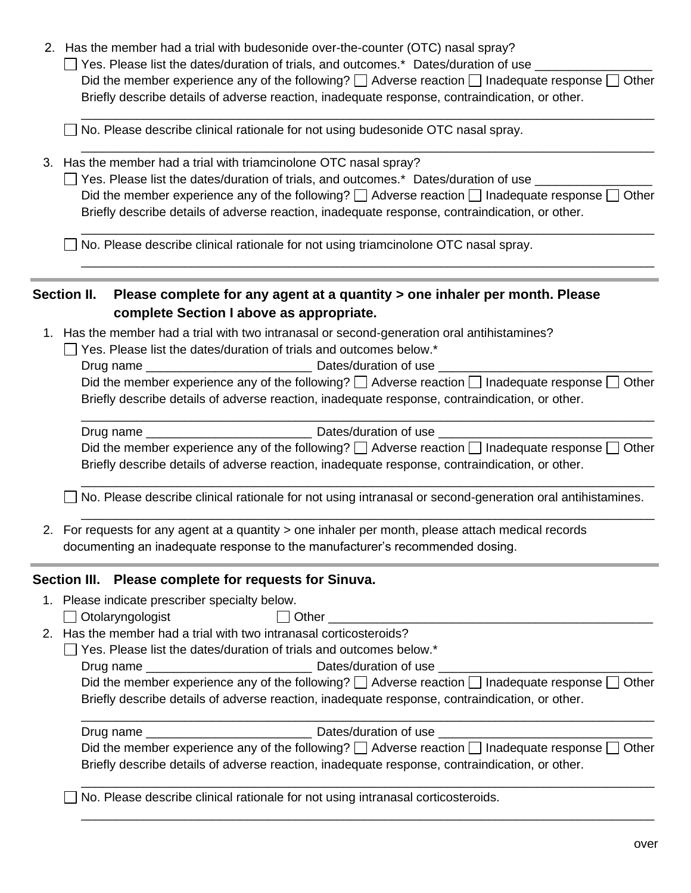2. Has the member had a trial with budesonide over-the-counter (OTC) nasal spray?

 $\Box$  Yes. Please list the dates/duration of trials, and outcomes.\* Dates/duration of use Did the member experience any of the following?  $\Box$  Adverse reaction  $\Box$  Inadequate response  $\Box$  Other Briefly describe details of adverse reaction, inadequate response, contraindication, or other.

\_\_\_\_\_\_\_\_\_\_\_\_\_\_\_\_\_\_\_\_\_\_\_\_\_\_\_\_\_\_\_\_\_\_\_\_\_\_\_\_\_\_\_\_\_\_\_\_\_\_\_\_\_\_\_\_\_\_\_\_\_\_\_\_\_\_\_\_\_\_\_\_\_\_\_\_\_\_\_\_\_\_\_

\_\_\_\_\_\_\_\_\_\_\_\_\_\_\_\_\_\_\_\_\_\_\_\_\_\_\_\_\_\_\_\_\_\_\_\_\_\_\_\_\_\_\_\_\_\_\_\_\_\_\_\_\_\_\_\_\_\_\_\_\_\_\_\_\_\_\_\_\_\_\_\_\_\_\_\_\_\_\_\_\_\_\_

□ No. Please describe clinical rationale for not using budesonide OTC nasal spray.

3. Has the member had a trial with triamcinolone OTC nasal spray?

□ Yes. Please list the dates/duration of trials, and outcomes.\* Dates/duration of use \_\_\_\_\_\_\_\_\_\_\_\_\_ Did the member experience any of the following?  $\Box$  Adverse reaction  $\Box$  Inadequate response  $\Box$  Other Briefly describe details of adverse reaction, inadequate response, contraindication, or other.

\_\_\_\_\_\_\_\_\_\_\_\_\_\_\_\_\_\_\_\_\_\_\_\_\_\_\_\_\_\_\_\_\_\_\_\_\_\_\_\_\_\_\_\_\_\_\_\_\_\_\_\_\_\_\_\_\_\_\_\_\_\_\_\_\_\_\_\_\_\_\_\_\_\_\_\_\_\_\_\_\_\_\_

\_\_\_\_\_\_\_\_\_\_\_\_\_\_\_\_\_\_\_\_\_\_\_\_\_\_\_\_\_\_\_\_\_\_\_\_\_\_\_\_\_\_\_\_\_\_\_\_\_\_\_\_\_\_\_\_\_\_\_\_\_\_\_\_\_\_\_\_\_\_\_\_\_\_\_\_\_\_\_\_\_\_\_

 $\Box$  No. Please describe clinical rationale for not using triamcinolone OTC nasal spray.

#### **Section II. Please complete for any agent at a quantity > one inhaler per month. Please complete Section I above as appropriate.**

- 1. Has the member had a trial with two intranasal or second-generation oral antihistamines?
	- $\Box$  Yes. Please list the dates/duration of trials and outcomes below.\*
		- Drug name \_\_\_\_\_\_\_\_\_\_\_\_\_\_\_\_\_\_\_\_\_\_\_\_ Dates/duration of use \_\_\_\_\_\_\_\_\_\_\_\_\_\_\_\_\_\_\_\_\_\_\_\_\_\_\_\_\_\_\_

| Did the member experience any of the following? $\square$ Adverse reaction $\square$ Inadequate response $\square$ Other |
|--------------------------------------------------------------------------------------------------------------------------|
| Briefly describe details of adverse reaction, inadequate response, contraindication, or other.                           |

| Drug name | Dates/duration of use                                                                                           |
|-----------|-----------------------------------------------------------------------------------------------------------------|
|           | Did the member experience any of the following? $\Box$ Adverse reaction $\Box$ Inadequate response $\Box$ Other |
|           | Briefly describe details of adverse reaction, inadequate response, contraindication, or other.                  |

\_\_\_\_\_\_\_\_\_\_\_\_\_\_\_\_\_\_\_\_\_\_\_\_\_\_\_\_\_\_\_\_\_\_\_\_\_\_\_\_\_\_\_\_\_\_\_\_\_\_\_\_\_\_\_\_\_\_\_\_\_\_\_\_\_\_\_\_\_\_\_\_\_\_\_\_\_\_\_\_\_\_\_

\_\_\_\_\_\_\_\_\_\_\_\_\_\_\_\_\_\_\_\_\_\_\_\_\_\_\_\_\_\_\_\_\_\_\_\_\_\_\_\_\_\_\_\_\_\_\_\_\_\_\_\_\_\_\_\_\_\_\_\_\_\_\_\_\_\_\_\_\_\_\_\_\_\_\_\_\_\_\_\_\_\_\_

 $\Box$  No. Please describe clinical rationale for not using intranasal or second-generation oral antihistamines.

2. For requests for any agent at a quantity > one inhaler per month, please attach medical records documenting an inadequate response to the manufacturer's recommended dosing.

#### **Section III. Please complete for requests for Sinuva.**

- 1. Please indicate prescriber specialty below.
	- Otolaryngologist **Dumber 1996** Other **Other**
- 2. Has the member had a trial with two intranasal corticosteroids?
	- $\Box$  Yes. Please list the dates/duration of trials and outcomes below.\*
		- Drug name \_\_\_\_\_\_\_\_\_\_\_\_\_\_\_\_\_\_\_\_\_\_\_\_ Dates/duration of use \_\_\_\_\_\_\_\_\_\_\_\_\_\_\_\_\_\_\_\_\_\_\_\_\_\_\_\_\_\_\_

| Did the member experience any of the following? $\square$ Adverse reaction $\square$ Inadequate response $\square$ Other |
|--------------------------------------------------------------------------------------------------------------------------|
| Briefly describe details of adverse reaction, inadequate response, contraindication, or other.                           |

| Drug name | Dates/duration of use                                                                                           |
|-----------|-----------------------------------------------------------------------------------------------------------------|
|           | Did the member experience any of the following? $\Box$ Adverse reaction $\Box$ Inadequate response $\Box$ Other |
|           | Briefly describe details of adverse reaction, inadequate response, contraindication, or other.                  |

\_\_\_\_\_\_\_\_\_\_\_\_\_\_\_\_\_\_\_\_\_\_\_\_\_\_\_\_\_\_\_\_\_\_\_\_\_\_\_\_\_\_\_\_\_\_\_\_\_\_\_\_\_\_\_\_\_\_\_\_\_\_\_\_\_\_\_\_\_\_\_\_\_\_\_\_\_\_\_\_\_\_\_

\_\_\_\_\_\_\_\_\_\_\_\_\_\_\_\_\_\_\_\_\_\_\_\_\_\_\_\_\_\_\_\_\_\_\_\_\_\_\_\_\_\_\_\_\_\_\_\_\_\_\_\_\_\_\_\_\_\_\_\_\_\_\_\_\_\_\_\_\_\_\_\_\_\_\_\_\_\_\_\_\_\_\_

 $\Box$  No. Please describe clinical rationale for not using intranasal corticosteroids.